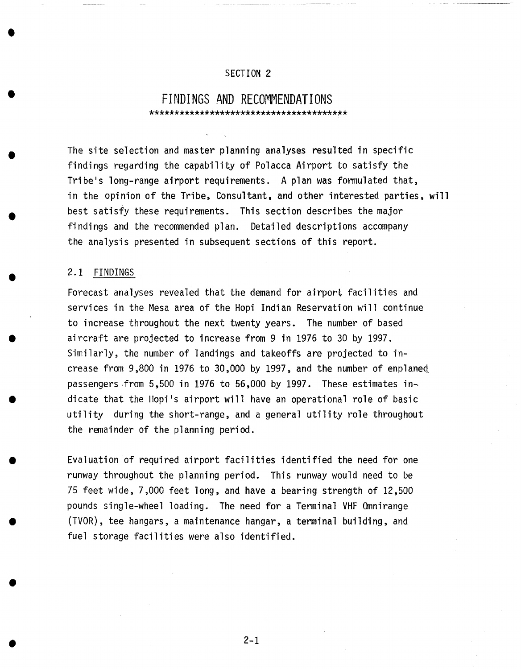## SECTION 2

## **FINDINGS AND RECOMMENDATIONS**

The site selection and master planning analyses resulted in specific findings regarding the capability of Polacca Airport to satisfy the Tribe's long-range airport requirements. A plan was formulated that, in the opinion of the Tribe, Consultant, and other interested parties, will best satisfy these requirements. This section describes the major findings and the recommended plan. Detailed descriptions accompany the analysis presented in subsequent sections of this report.

## 2.1 FINDINGS

Forecast analyses revealed that the demand for airport facilities and services in the Mesa area of the Hopi Indian Reservation will continue to increase throughout the next twenty years. The number of based aircraft are projected to increase from 9 in 1976 to 30 by 1997. Similarly, the number of landings and takeoffs are projected to increase from 9,800 in 1976 to 30,000 by 1997, and the number of enplaned passengers from 5,500 in 1976 to 56,000 by 1997. These estimates in~ dicate that the Hopi's airport will have an operational role of basic utility during the short-range, and a general utility role throughout the remainder of the planning period.

Evaluation of required airport facilities identified the need for one runway throughout the planning period. This runway would need to be 75 feet wide, 7,000 feet long, and have a bearing strength of 12,500 pounds single-wheel loading. The need for a Terminal VHF Omnirange (TVOR), tee hangars, a maintenance hangar, a terminal building, and fuel storage facilities were also identified.

**• 2-1**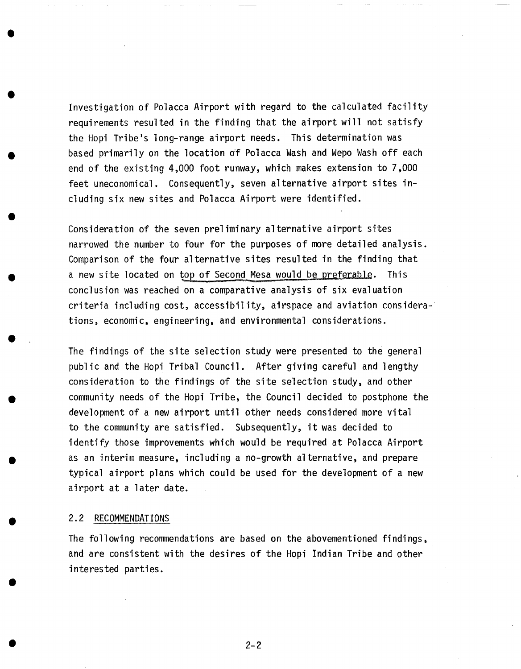Investigation of Polacca Airport with regard to the calculated facility requirements resulted in the finding that the airport will not satisfy the Hopi Tribe's long-range airport needs. This determination was based primarily on the location Of Polacca Wash and Wepo Wash off each end of the existing 4,000 foot runway, which makes extension to 7,000 feet uneconomical. Consequently, seven alternative airport sites including six new sites and Polacca Airport were identified.

Consideration of the seven preliminary alternative airport sites narrowed the number to four for the purposes of more detailed analysis. Comparison of the four alternative sites resulted in the finding that a new site located on top of Second Mesa would be preferable. This conclusion was reached on a comparative analysis of six evaluation criteria including cost, accessibility, airspace and aviation considerations, economic, engineering, and environmental considerations.

The findings of the site selection study were presented to the general public and the Hopi Tribal Council. After giving careful and lengthy consideration to the findings of the site selection study, and other community needs of the Hopi Tribe, the Council decided to postphone the development of a new airport until other needs considered more vital to the community are satisfied. Subsequently, it was decided to identify those improvements which would be required at Polacca Airport as an interim measure, including a no-growth alternative, and prepare typical airport plans which could be used for the development of a new airport at a later date.

## 2.2 RECOMMENDATIONS

**@** 

**@** 

**@** 

**@** 

**@** 

**@** 

The following recommendations are based on the abovementioned findings, and are consistent with the desires of the Hopi Indian Tribe and other interested parties.

**• 2-2**